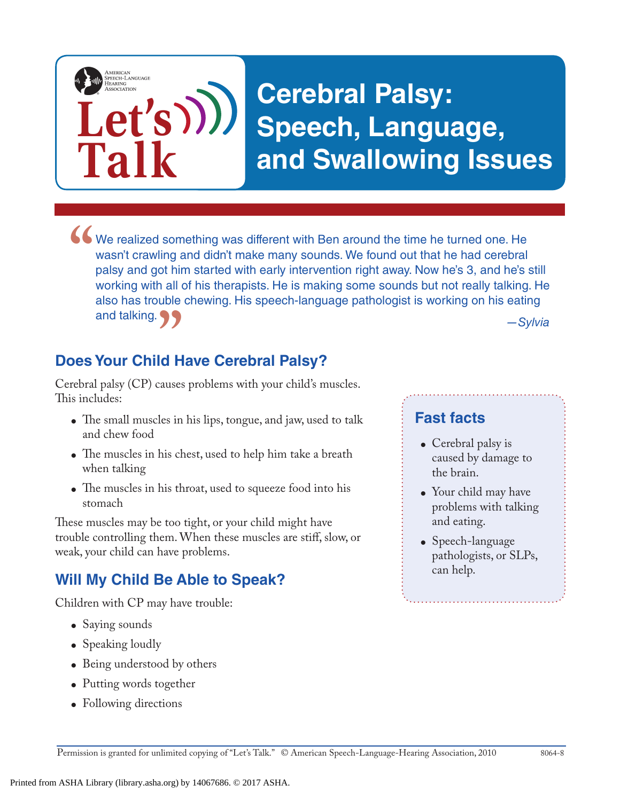# **Cerebral Palsy: Speech, Language, and Swallowing Issues**

*—Sylvia* We realized something was different with Ben around the time he turned one. He wasn't crawling and didn't make many sounds. We found out that he had cerebral palsy and got him started with early intervention right away. No wasn't crawling and didn't make many sounds. We found out that he had cerebral palsy and got him started with early intervention right away. Now he's 3, and he's still working with all of his therapists. He is making some sounds but not really talking. He also has trouble chewing. His speech-language pathologist is working on his eating and talking.

**Does Your Child Have Cerebral Palsy? "**<br>"<br>"<sup>11569</sup>

**Let's**

**Talk**

AMERICAN<br>SPEECH-LANGUAGE-<br>HEARING

Cerebral palsy (CP) causes problems with your child's muscles. This includes:

- The small muscles in his lips, tongue, and jaw, used to talk and chew food
- The muscles in his chest, used to help him take a breath when talking
- The muscles in his throat, used to squeeze food into his stomach

These muscles may be too tight, or your child might have trouble controlling them. When these muscles are stiff, slow, or weak, your child can have problems.

## **Will My Child Be Able to Speak?**

Children with CP may have trouble:

- Saying sounds
- Speaking loudly
- Being understood by others
- Putting words together
- Following directions

#### **Fast facts**

- Cerebral palsy is caused by damage to the brain.
- Your child may have problems with talking and eating.
- Speech-language pathologists, or SLPs, can help.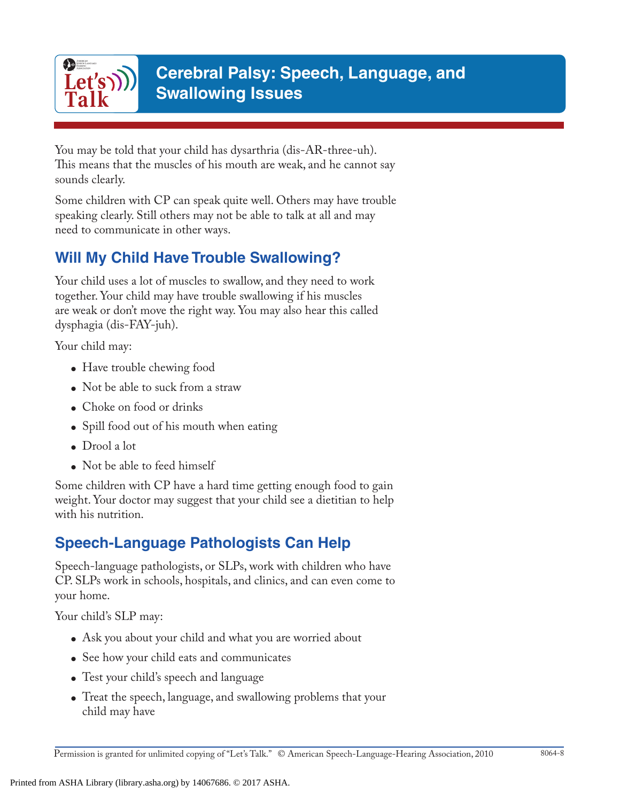

You may be told that your child has dysarthria (dis-AR-three-uh). This means that the muscles of his mouth are weak, and he cannot say sounds clearly.

Some children with CP can speak quite well. Others may have trouble speaking clearly. Still others may not be able to talk at all and may need to communicate in other ways.

### **Will My Child Have Trouble Swallowing?**

Your child uses a lot of muscles to swallow, and they need to work together. Your child may have trouble swallowing if his muscles are weak or don't move the right way. You may also hear this called dysphagia (dis-FAY-juh).

Your child may:

- Have trouble chewing food
- $\bullet$  Not be able to suck from a straw
- Choke on food or drinks
- Spill food out of his mouth when eating
- Drool a lot
- Not be able to feed himself

Some children with CP have a hard time getting enough food to gain weight. Your doctor may suggest that your child see a dietitian to help with his nutrition.

# **Speech-Language Pathologists Can Help**

Speech-language pathologists, or SLPs, work with children who have CP. SLPs work in schools, hospitals, and clinics, and can even come to your home.

Your child's SLP may:

- Ask you about your child and what you are worried about
- See how your child eats and communicates
- Test your child's speech and language
- Treat the speech, language, and swallowing problems that your child may have